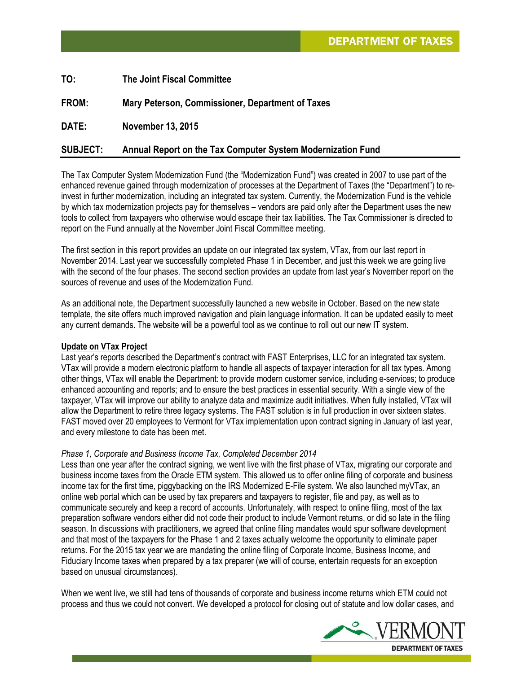| TO:             | <b>The Joint Fiscal Committee</b>                           |
|-----------------|-------------------------------------------------------------|
| FROM:           | Mary Peterson, Commissioner, Department of Taxes            |
| DATE:           | <b>November 13, 2015</b>                                    |
| <b>SUBJECT:</b> | Annual Report on the Tax Computer System Modernization Fund |

The Tax Computer System Modernization Fund (the "Modernization Fund") was created in 2007 to use part of the enhanced revenue gained through modernization of processes at the Department of Taxes (the "Department") to reinvest in further modernization, including an integrated tax system. Currently, the Modernization Fund is the vehicle by which tax modernization projects pay for themselves – vendors are paid only after the Department uses the new tools to collect from taxpayers who otherwise would escape their tax liabilities. The Tax Commissioner is directed to report on the Fund annually at the November Joint Fiscal Committee meeting.

The first section in this report provides an update on our integrated tax system, VTax, from our last report in November 2014. Last year we successfully completed Phase 1 in December, and just this week we are going live with the second of the four phases. The second section provides an update from last year's November report on the sources of revenue and uses of the Modernization Fund.

As an additional note, the Department successfully launched a new website in October. Based on the new state template, the site offers much improved navigation and plain language information. It can be updated easily to meet any current demands. The website will be a powerful tool as we continue to roll out our new IT system.

## **Update on VTax Project**

Last year's reports described the Department's contract with FAST Enterprises, LLC for an integrated tax system. VTax will provide a modern electronic platform to handle all aspects of taxpayer interaction for all tax types. Among other things, VTax will enable the Department: to provide modern customer service, including e-services; to produce enhanced accounting and reports; and to ensure the best practices in essential security. With a single view of the taxpayer, VTax will improve our ability to analyze data and maximize audit initiatives. When fully installed, VTax will allow the Department to retire three legacy systems. The FAST solution is in full production in over sixteen states. FAST moved over 20 employees to Vermont for VTax implementation upon contract signing in January of last year, and every milestone to date has been met.

## *Phase 1, Corporate and Business Income Tax, Completed December 2014*

Less than one year after the contract signing, we went live with the first phase of VTax, migrating our corporate and business income taxes from the Oracle ETM system. This allowed us to offer online filing of corporate and business income tax for the first time, piggybacking on the IRS Modernized E-File system. We also launched myVTax, an online web portal which can be used by tax preparers and taxpayers to register, file and pay, as well as to communicate securely and keep a record of accounts. Unfortunately, with respect to online filing, most of the tax preparation software vendors either did not code their product to include Vermont returns, or did so late in the filing season. In discussions with practitioners, we agreed that online filing mandates would spur software development and that most of the taxpayers for the Phase 1 and 2 taxes actually welcome the opportunity to eliminate paper returns. For the 2015 tax year we are mandating the online filing of Corporate Income, Business Income, and Fiduciary Income taxes when prepared by a tax preparer (we will of course, entertain requests for an exception based on unusual circumstances).

When we went live, we still had tens of thousands of corporate and business income returns which ETM could not process and thus we could not convert. We developed a protocol for closing out of statute and low dollar cases, and

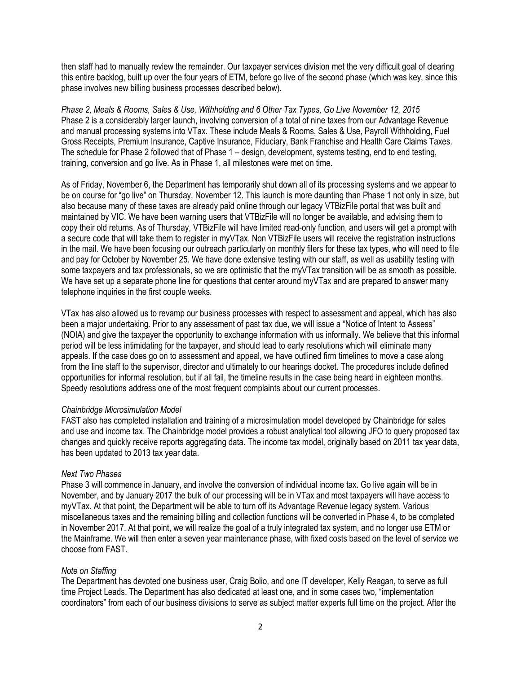then staff had to manually review the remainder. Our taxpayer services division met the very difficult goal of clearing this entire backlog, built up over the four years of ETM, before go live of the second phase (which was key, since this phase involves new billing business processes described below).

*Phase 2, Meals & Rooms, Sales & Use, Withholding and 6 Other Tax Types, Go Live November 12, 2015* Phase 2 is a considerably larger launch, involving conversion of a total of nine taxes from our Advantage Revenue and manual processing systems into VTax. These include Meals & Rooms, Sales & Use, Payroll Withholding, Fuel Gross Receipts, Premium Insurance, Captive Insurance, Fiduciary, Bank Franchise and Health Care Claims Taxes. The schedule for Phase 2 followed that of Phase 1 – design, development, systems testing, end to end testing, training, conversion and go live. As in Phase 1, all milestones were met on time.

As of Friday, November 6, the Department has temporarily shut down all of its processing systems and we appear to be on course for "go live" on Thursday, November 12. This launch is more daunting than Phase 1 not only in size, but also because many of these taxes are already paid online through our legacy VTBizFile portal that was built and maintained by VIC. We have been warning users that VTBizFile will no longer be available, and advising them to copy their old returns. As of Thursday, VTBizFile will have limited read-only function, and users will get a prompt with a secure code that will take them to register in myVTax. Non VTBizFile users will receive the registration instructions in the mail. We have been focusing our outreach particularly on monthly filers for these tax types, who will need to file and pay for October by November 25. We have done extensive testing with our staff, as well as usability testing with some taxpayers and tax professionals, so we are optimistic that the myVTax transition will be as smooth as possible. We have set up a separate phone line for questions that center around myVTax and are prepared to answer many telephone inquiries in the first couple weeks.

VTax has also allowed us to revamp our business processes with respect to assessment and appeal, which has also been a major undertaking. Prior to any assessment of past tax due, we will issue a "Notice of Intent to Assess" (NOIA) and give the taxpayer the opportunity to exchange information with us informally. We believe that this informal period will be less intimidating for the taxpayer, and should lead to early resolutions which will eliminate many appeals. If the case does go on to assessment and appeal, we have outlined firm timelines to move a case along from the line staff to the supervisor, director and ultimately to our hearings docket. The procedures include defined opportunities for informal resolution, but if all fail, the timeline results in the case being heard in eighteen months. Speedy resolutions address one of the most frequent complaints about our current processes.

#### *Chainbridge Microsimulation Model*

FAST also has completed installation and training of a microsimulation model developed by Chainbridge for sales and use and income tax. The Chainbridge model provides a robust analytical tool allowing JFO to query proposed tax changes and quickly receive reports aggregating data. The income tax model, originally based on 2011 tax year data, has been updated to 2013 tax year data.

#### *Next Two Phases*

Phase 3 will commence in January, and involve the conversion of individual income tax. Go live again will be in November, and by January 2017 the bulk of our processing will be in VTax and most taxpayers will have access to myVTax. At that point, the Department will be able to turn off its Advantage Revenue legacy system. Various miscellaneous taxes and the remaining billing and collection functions will be converted in Phase 4, to be completed in November 2017. At that point, we will realize the goal of a truly integrated tax system, and no longer use ETM or the Mainframe. We will then enter a seven year maintenance phase, with fixed costs based on the level of service we choose from FAST.

#### *Note on Staffing*

The Department has devoted one business user, Craig Bolio, and one IT developer, Kelly Reagan, to serve as full time Project Leads. The Department has also dedicated at least one, and in some cases two, "implementation coordinators" from each of our business divisions to serve as subject matter experts full time on the project. After the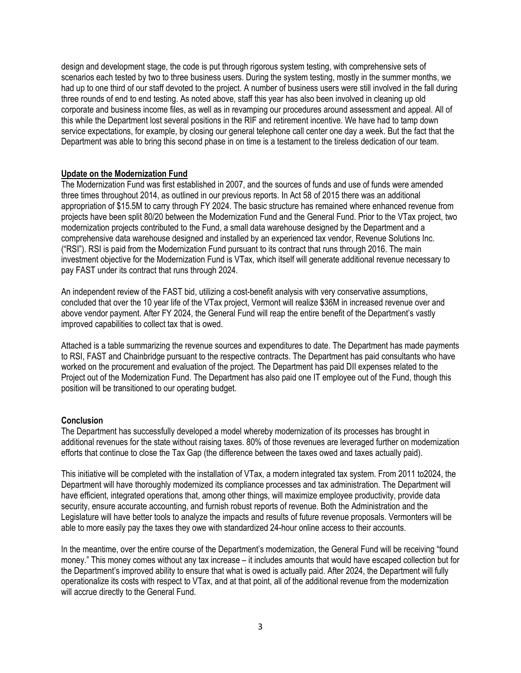design and development stage, the code is put through rigorous system testing, with comprehensive sets of scenarios each tested by two to three business users. During the system testing, mostly in the summer months, we had up to one third of our staff devoted to the project. A number of business users were still involved in the fall during three rounds of end to end testing. As noted above, staff this year has also been involved in cleaning up old corporate and business income files, as well as in revamping our procedures around assessment and appeal. All of this while the Department lost several positions in the RIF and retirement incentive. We have had to tamp down service expectations, for example, by closing our general telephone call center one day a week. But the fact that the Department was able to bring this second phase in on time is a testament to the tireless dedication of our team.

#### **Update on the Modernization Fund**

The Modernization Fund was first established in 2007, and the sources of funds and use of funds were amended three times throughout 2014, as outlined in our previous reports. In Act 58 of 2015 there was an additional appropriation of \$15.5M to carry through FY 2024. The basic structure has remained where enhanced revenue from projects have been split 80/20 between the Modernization Fund and the General Fund. Prior to the VTax project, two modernization projects contributed to the Fund, a small data warehouse designed by the Department and a comprehensive data warehouse designed and installed by an experienced tax vendor, Revenue Solutions Inc. ("RSI"). RSI is paid from the Modernization Fund pursuant to its contract that runs through 2016. The main investment objective for the Modernization Fund is VTax, which itself will generate additional revenue necessary to pay FAST under its contract that runs through 2024.

An independent review of the FAST bid, utilizing a cost-benefit analysis with very conservative assumptions, concluded that over the 10 year life of the VTax project, Vermont will realize \$36M in increased revenue over and above vendor payment. After FY 2024, the General Fund will reap the entire benefit of the Department's vastly improved capabilities to collect tax that is owed.

Attached is a table summarizing the revenue sources and expenditures to date. The Department has made payments to RSI, FAST and Chainbridge pursuant to the respective contracts. The Department has paid consultants who have worked on the procurement and evaluation of the project. The Department has paid DII expenses related to the Project out of the Modernization Fund. The Department has also paid one IT employee out of the Fund, though this position will be transitioned to our operating budget.

#### **Conclusion**

The Department has successfully developed a model whereby modernization of its processes has brought in additional revenues for the state without raising taxes. 80% of those revenues are leveraged further on modernization efforts that continue to close the Tax Gap (the difference between the taxes owed and taxes actually paid).

This initiative will be completed with the installation of VTax, a modern integrated tax system. From 2011 to2024, the Department will have thoroughly modernized its compliance processes and tax administration. The Department will have efficient, integrated operations that, among other things, will maximize employee productivity, provide data security, ensure accurate accounting, and furnish robust reports of revenue. Both the Administration and the Legislature will have better tools to analyze the impacts and results of future revenue proposals. Vermonters will be able to more easily pay the taxes they owe with standardized 24-hour online access to their accounts.

In the meantime, over the entire course of the Department's modernization, the General Fund will be receiving "found money." This money comes without any tax increase – it includes amounts that would have escaped collection but for the Department's improved ability to ensure that what is owed is actually paid. After 2024, the Department will fully operationalize its costs with respect to VTax, and at that point, all of the additional revenue from the modernization will accrue directly to the General Fund.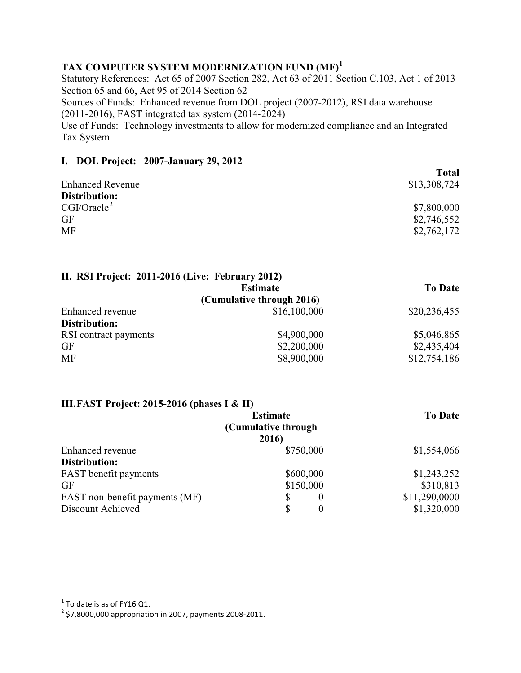# **TAX COMPUTER SYSTEM MODERNIZATION FUND (MF)[1](#page-3-0)**

Statutory References: Act 65 of 2007 Section 282, Act 63 of 2011 Section C.103, Act 1 of 2013 Section 65 and 66, Act 95 of 2014 Section 62 Sources of Funds: Enhanced revenue from DOL project (2007-2012), RSI data warehouse

(2011-2016), FAST integrated tax system (2014-2024)

Use of Funds: Technology investments to allow for modernized compliance and an Integrated Tax System

## **I. DOL Project: 2007-January 29, 2012**

|                         | <b>Total</b> |
|-------------------------|--------------|
| <b>Enhanced Revenue</b> | \$13,308,724 |
| Distribution:           |              |
| CGI/Oracle <sup>2</sup> | \$7,800,000  |
| GF                      | \$2,746,552  |
| <b>MF</b>               | \$2,762,172  |
|                         |              |

| II. RSI Project: 2011-2016 (Live: February 2012) |                 |                |  |  |  |  |
|--------------------------------------------------|-----------------|----------------|--|--|--|--|
|                                                  | <b>Estimate</b> | <b>To Date</b> |  |  |  |  |
| (Cumulative through 2016)                        |                 |                |  |  |  |  |
| Enhanced revenue                                 | \$16,100,000    | \$20,236,455   |  |  |  |  |
| Distribution:                                    |                 |                |  |  |  |  |
| RSI contract payments                            | \$4,900,000     | \$5,046,865    |  |  |  |  |
| GF                                               | \$2,200,000     | \$2,435,404    |  |  |  |  |
| <b>MF</b>                                        | \$8,900,000     | \$12,754,186   |  |  |  |  |

## **III.FAST Project: 2015-2016 (phases I & II)**

|                                | <b>Estimate</b><br>(Cumulative through) | <b>To Date</b> |
|--------------------------------|-----------------------------------------|----------------|
|                                | 2016)                                   |                |
| Enhanced revenue               | \$750,000                               | \$1,554,066    |
| Distribution:                  |                                         |                |
| <b>FAST</b> benefit payments   | \$600,000                               | \$1,243,252    |
| GF                             | \$150,000                               | \$310,813      |
| FAST non-benefit payments (MF) | \$<br>$\theta$                          | \$11,290,0000  |
| Discount Achieved              | \$<br>$\boldsymbol{0}$                  | \$1,320,000    |

l

<span id="page-3-1"></span><span id="page-3-0"></span> $1$  To date is as of FY16 Q1.<br> $2$  \$7,8000,000 appropriation in 2007, payments 2008-2011.